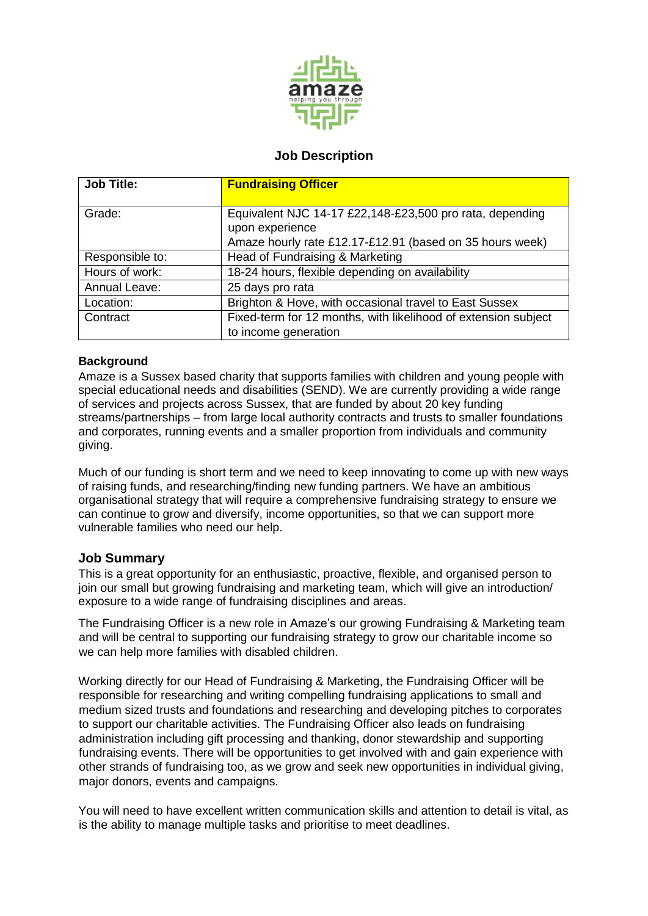

# **Job Description**

| <b>Job Title:</b>    | <b>Fundraising Officer</b>                                     |
|----------------------|----------------------------------------------------------------|
|                      |                                                                |
| Grade:               | Equivalent NJC 14-17 £22,148-£23,500 pro rata, depending       |
|                      | upon experience                                                |
|                      | Amaze hourly rate £12.17-£12.91 (based on 35 hours week)       |
| Responsible to:      | Head of Fundraising & Marketing                                |
| Hours of work:       | 18-24 hours, flexible depending on availability                |
| <b>Annual Leave:</b> | 25 days pro rata                                               |
| Location:            | Brighton & Hove, with occasional travel to East Sussex         |
| Contract             | Fixed-term for 12 months, with likelihood of extension subject |
|                      | to income generation                                           |

### **Background**

Amaze is a Sussex based charity that supports families with children and young people with special educational needs and disabilities (SEND). We are currently providing a wide range of services and projects across Sussex, that are funded by about 20 key funding streams/partnerships – from large local authority contracts and trusts to smaller foundations and corporates, running events and a smaller proportion from individuals and community giving.

Much of our funding is short term and we need to keep innovating to come up with new ways of raising funds, and researching/finding new funding partners. We have an ambitious organisational strategy that will require a comprehensive fundraising strategy to ensure we can continue to grow and diversify, income opportunities, so that we can support more vulnerable families who need our help.

## **Job Summary**

This is a great opportunity for an enthusiastic, proactive, flexible, and organised person to join our small but growing fundraising and marketing team, which will give an introduction/ exposure to a wide range of fundraising disciplines and areas.

The Fundraising Officer is a new role in Amaze's our growing Fundraising & Marketing team and will be central to supporting our fundraising strategy to grow our charitable income so we can help more families with disabled children.

Working directly for our Head of Fundraising & Marketing, the Fundraising Officer will be responsible for researching and writing compelling fundraising applications to small and medium sized trusts and foundations and researching and developing pitches to corporates to support our charitable activities. The Fundraising Officer also leads on fundraising administration including gift processing and thanking, donor stewardship and supporting fundraising events. There will be opportunities to get involved with and gain experience with other strands of fundraising too, as we grow and seek new opportunities in individual giving, major donors, events and campaigns.

You will need to have excellent written communication skills and attention to detail is vital, as is the ability to manage multiple tasks and prioritise to meet deadlines.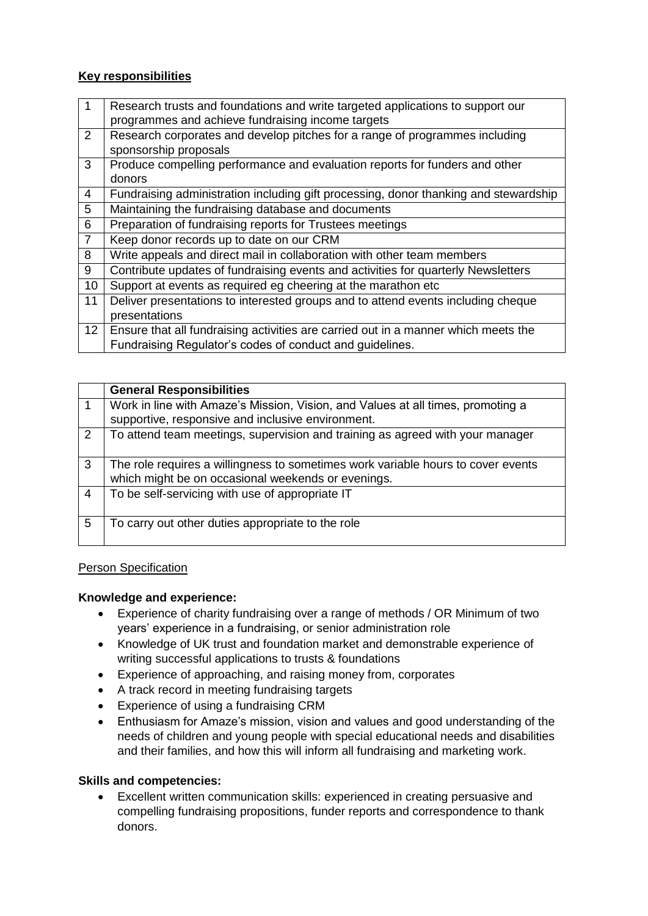## **Key responsibilities**

| $\mathbf{1}$   | Research trusts and foundations and write targeted applications to support our<br>programmes and achieve fundraising income targets |
|----------------|-------------------------------------------------------------------------------------------------------------------------------------|
|                |                                                                                                                                     |
| 2              | Research corporates and develop pitches for a range of programmes including                                                         |
|                | sponsorship proposals                                                                                                               |
| 3              | Produce compelling performance and evaluation reports for funders and other                                                         |
|                | donors                                                                                                                              |
| $\overline{4}$ | Fundraising administration including gift processing, donor thanking and stewardship                                                |
| 5              | Maintaining the fundraising database and documents                                                                                  |
| 6              | Preparation of fundraising reports for Trustees meetings                                                                            |
| $\overline{7}$ | Keep donor records up to date on our CRM                                                                                            |
| 8              | Write appeals and direct mail in collaboration with other team members                                                              |
| 9              | Contribute updates of fundraising events and activities for quarterly Newsletters                                                   |
| 10             | Support at events as required eg cheering at the marathon etc                                                                       |
| 11             | Deliver presentations to interested groups and to attend events including cheque                                                    |
|                | presentations                                                                                                                       |
| 12             | Ensure that all fundraising activities are carried out in a manner which meets the                                                  |
|                | Fundraising Regulator's codes of conduct and guidelines.                                                                            |

|                | <b>General Responsibilities</b>                                                  |
|----------------|----------------------------------------------------------------------------------|
|                | Work in line with Amaze's Mission, Vision, and Values at all times, promoting a  |
|                | supportive, responsive and inclusive environment.                                |
| 2              | To attend team meetings, supervision and training as agreed with your manager    |
| 3              | The role requires a willingness to sometimes work variable hours to cover events |
|                | which might be on occasional weekends or evenings.                               |
| $\overline{4}$ | To be self-servicing with use of appropriate IT                                  |
| .5             | To carry out other duties appropriate to the role                                |

### Person Specification

### **Knowledge and experience:**

- Experience of charity fundraising over a range of methods / OR Minimum of two years' experience in a fundraising, or senior administration role
- Knowledge of UK trust and foundation market and demonstrable experience of writing successful applications to trusts & foundations
- Experience of approaching, and raising money from, corporates
- A track record in meeting fundraising targets
- Experience of using a fundraising CRM
- Enthusiasm for Amaze's mission, vision and values and good understanding of the needs of children and young people with special educational needs and disabilities and their families, and how this will inform all fundraising and marketing work.

### **Skills and competencies:**

 Excellent written communication skills: experienced in creating persuasive and compelling fundraising propositions, funder reports and correspondence to thank donors.